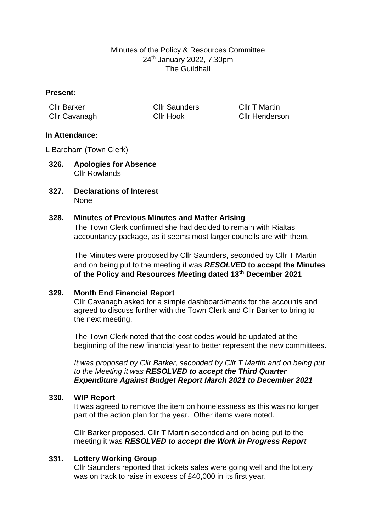# Minutes of the Policy & Resources Committee 24th January 2022, 7.30pm The Guildhall

## **Present:**

| <b>CIIr Barker</b> | <b>Cllr Saunders</b> | <b>CIIr T Martin</b>  |
|--------------------|----------------------|-----------------------|
| Cllr Cavanagh      | <b>Cllr Hook</b>     | <b>Cllr Henderson</b> |

## **In Attendance:**

L Bareham (Town Clerk)

- **326. Apologies for Absence** Cllr Rowlands
- **327. Declarations of Interest** None

### **328. Minutes of Previous Minutes and Matter Arising**

The Town Clerk confirmed she had decided to remain with Rialtas accountancy package, as it seems most larger councils are with them.

The Minutes were proposed by Cllr Saunders, seconded by Cllr T Martin and on being put to the meeting it was *RESOLVED* **to accept the Minutes of the Policy and Resources Meeting dated 13th December 2021**

## **329. Month End Financial Report**

Cllr Cavanagh asked for a simple dashboard/matrix for the accounts and agreed to discuss further with the Town Clerk and Cllr Barker to bring to the next meeting.

The Town Clerk noted that the cost codes would be updated at the beginning of the new financial year to better represent the new committees.

*It was proposed by Cllr Barker, seconded by Cllr T Martin and on being put to the Meeting it was RESOLVED to accept the Third Quarter Expenditure Against Budget Report March 2021 to December 2021*

#### **330. WIP Report**

It was agreed to remove the item on homelessness as this was no longer part of the action plan for the year. Other items were noted.

Cllr Barker proposed, Cllr T Martin seconded and on being put to the meeting it was *RESOLVED to accept the Work in Progress Report*

#### **331. Lottery Working Group**

Cllr Saunders reported that tickets sales were going well and the lottery was on track to raise in excess of £40,000 in its first year.